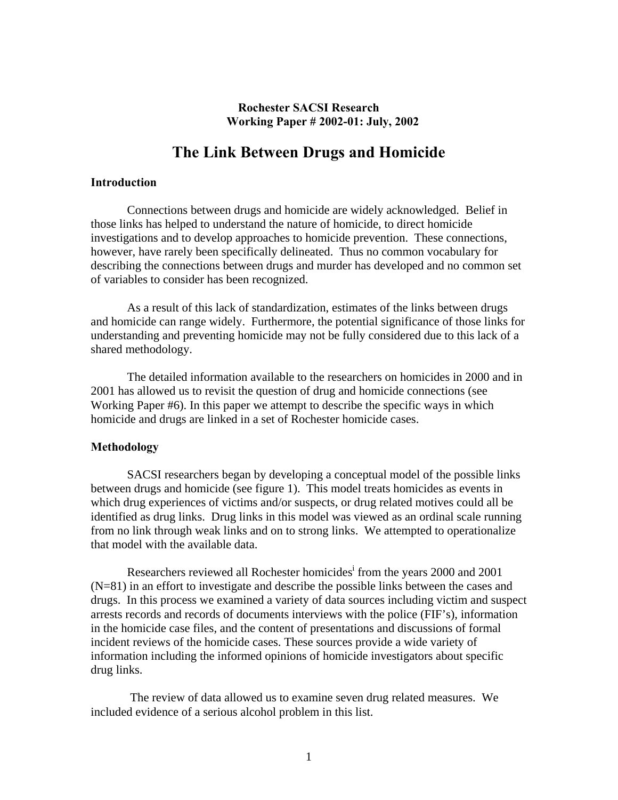## **Rochester SACSI Research Working Paper # 2002-01: July, 2002**

## **The Link Between Drugs and Homicide**

## **Introduction**

 Connections between drugs and homicide are widely acknowledged. Belief in those links has helped to understand the nature of homicide, to direct homicide investigations and to develop approaches to homicide prevention. These connections, however, have rarely been specifically delineated. Thus no common vocabulary for describing the connections between drugs and murder has developed and no common set of variables to consider has been recognized.

As a result of this lack of standardization, estimates of the links between drugs and homicide can range widely. Furthermore, the potential significance of those links for understanding and preventing homicide may not be fully considered due to this lack of a shared methodology.

 The detailed information available to the researchers on homicides in 2000 and in 2001 has allowed us to revisit the question of drug and homicide connections (see Working Paper #6). In this paper we attempt to describe the specific ways in which homicide and drugs are linked in a set of Rochester homicide cases.

## **Methodology**

 SACSI researchers began by developing a conceptual model of the possible links between drugs and homicide (see figure 1). This model treats homicides as events in which drug experiences of victims and/or suspects, or drug related motives could all be identified as drug links. Drug links in this model was viewed as an ordinal scale running from no link through weak links and on to strong links. We attempted to operationalize that model with the available data.

Researchers reviewed all Rochester homicides<sup>i</sup> from the years 2000 and 2001 (N=81) in an effort to investigate and describe the possible links between the cases and drugs. In this process we examined a variety of data sources including victim and suspect arrests records and records of documents interviews with the police (FIF's), information in the homicide case files, and the content of presentations and discussions of formal incident reviews of the homicide cases. These sources provide a wide variety of information including the informed opinions of homicide investigators about specific drug links.

 The review of data allowed us to examine seven drug related measures. We included evidence of a serious alcohol problem in this list.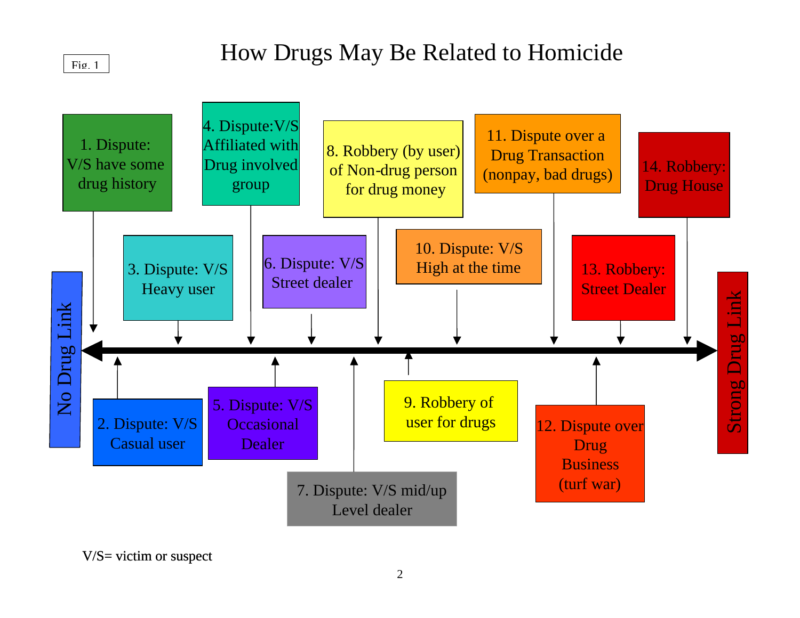## $Fig. 1$

# How Drugs May Be Related to Homicide



V/S= victim or suspect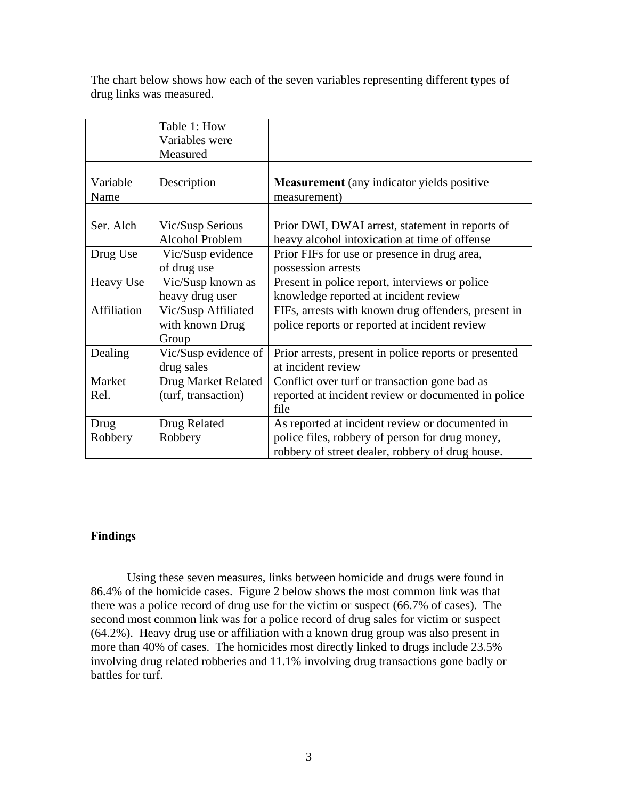The chart below shows how each of the seven variables representing different types of drug links was measured.

|                  | Table 1: How<br>Variables were                  |                                                                                                                                                        |
|------------------|-------------------------------------------------|--------------------------------------------------------------------------------------------------------------------------------------------------------|
|                  | Measured                                        |                                                                                                                                                        |
| Variable<br>Name | Description                                     | <b>Measurement</b> (any indicator yields positive<br>measurement)                                                                                      |
|                  |                                                 |                                                                                                                                                        |
| Ser. Alch        | Vic/Susp Serious<br><b>Alcohol Problem</b>      | Prior DWI, DWAI arrest, statement in reports of<br>heavy alcohol intoxication at time of offense                                                       |
| Drug Use         | Vic/Susp evidence<br>of drug use                | Prior FIFs for use or presence in drug area,<br>possession arrests                                                                                     |
| Heavy Use        | Vic/Susp known as<br>heavy drug user            | Present in police report, interviews or police<br>knowledge reported at incident review                                                                |
| Affiliation      | Vic/Susp Affiliated<br>with known Drug<br>Group | FIFs, arrests with known drug offenders, present in<br>police reports or reported at incident review                                                   |
| Dealing          | Vic/Susp evidence of<br>drug sales              | Prior arrests, present in police reports or presented<br>at incident review                                                                            |
| Market           | Drug Market Related                             | Conflict over turf or transaction gone bad as                                                                                                          |
| Rel.             | (turf, transaction)                             | reported at incident review or documented in police<br>file                                                                                            |
| Drug<br>Robbery  | Drug Related<br>Robbery                         | As reported at incident review or documented in<br>police files, robbery of person for drug money,<br>robbery of street dealer, robbery of drug house. |

## **Findings**

Using these seven measures, links between homicide and drugs were found in 86.4% of the homicide cases. Figure 2 below shows the most common link was that there was a police record of drug use for the victim or suspect (66.7% of cases). The second most common link was for a police record of drug sales for victim or suspect (64.2%). Heavy drug use or affiliation with a known drug group was also present in more than 40% of cases. The homicides most directly linked to drugs include 23.5% involving drug related robberies and 11.1% involving drug transactions gone badly or battles for turf.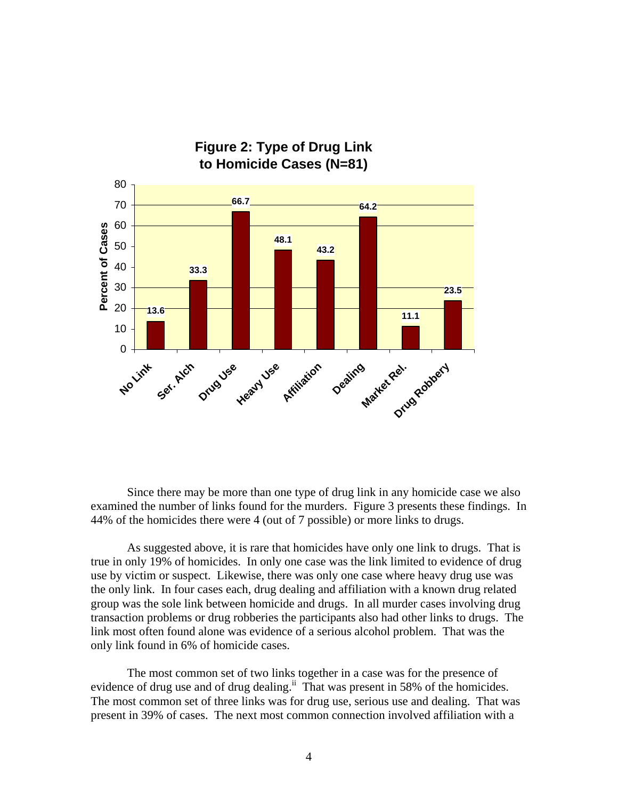

Since there may be more than one type of drug link in any homicide case we also examined the number of links found for the murders. Figure 3 presents these findings. In 44% of the homicides there were 4 (out of 7 possible) or more links to drugs.

As suggested above, it is rare that homicides have only one link to drugs. That is true in only 19% of homicides. In only one case was the link limited to evidence of drug use by victim or suspect. Likewise, there was only one case where heavy drug use was the only link. In four cases each, drug dealing and affiliation with a known drug related group was the sole link between homicide and drugs. In all murder cases involving drug transaction problems or drug robberies the participants also had other links to drugs. The link most often found alone was evidence of a serious alcohol problem. That was the only link found in 6% of homicide cases.

The most common set of two links together in a case was for the presence of evidence of drug use and of drug dealing.<sup>ii</sup> That was present in 58% of the homicides. The most common set of three links was for drug use, serious use and dealing. That was present in 39% of cases. The next most common connection involved affiliation with a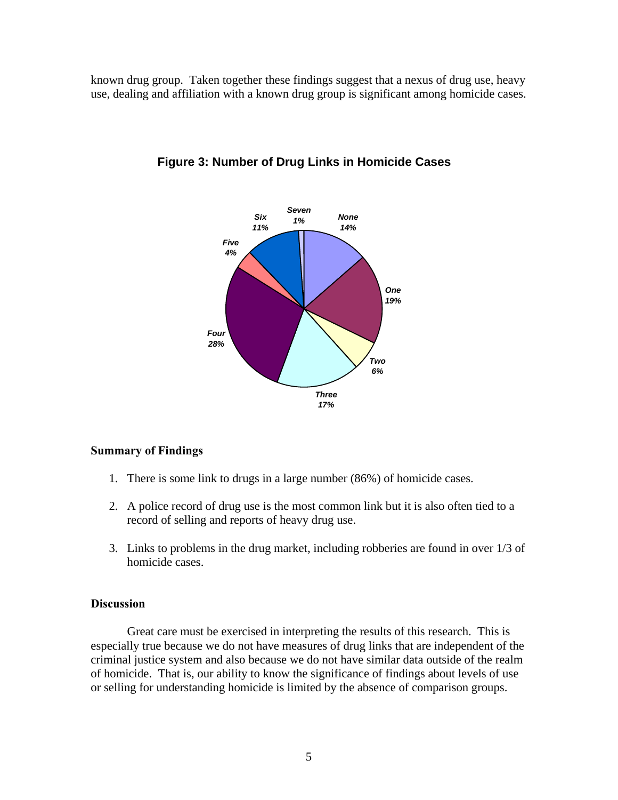known drug group. Taken together these findings suggest that a nexus of drug use, heavy use, dealing and affiliation with a known drug group is significant among homicide cases.



## **Figure 3: Number of Drug Links in Homicide Cases**

### **Summary of Findings**

- 1. There is some link to drugs in a large number (86%) of homicide cases.
- 2. A police record of drug use is the most common link but it is also often tied to a record of selling and reports of heavy drug use.
- 3. Links to problems in the drug market, including robberies are found in over 1/3 of homicide cases.

## **Discussion**

 Great care must be exercised in interpreting the results of this research. This is especially true because we do not have measures of drug links that are independent of the criminal justice system and also because we do not have similar data outside of the realm of homicide. That is, our ability to know the significance of findings about levels of use or selling for understanding homicide is limited by the absence of comparison groups.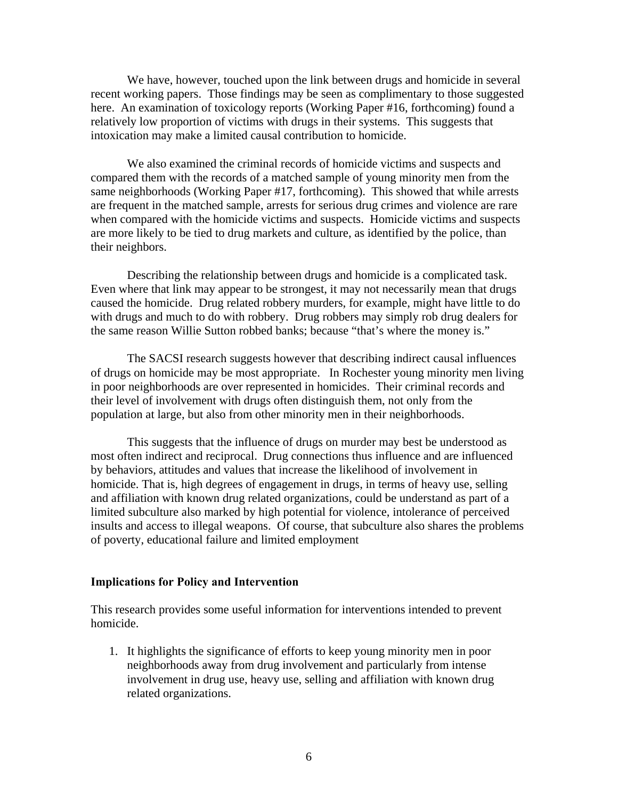We have, however, touched upon the link between drugs and homicide in several recent working papers. Those findings may be seen as complimentary to those suggested here. An examination of toxicology reports (Working Paper #16, forthcoming) found a relatively low proportion of victims with drugs in their systems. This suggests that intoxication may make a limited causal contribution to homicide.

 We also examined the criminal records of homicide victims and suspects and compared them with the records of a matched sample of young minority men from the same neighborhoods (Working Paper #17, forthcoming). This showed that while arrests are frequent in the matched sample, arrests for serious drug crimes and violence are rare when compared with the homicide victims and suspects. Homicide victims and suspects are more likely to be tied to drug markets and culture, as identified by the police, than their neighbors.

 Describing the relationship between drugs and homicide is a complicated task. Even where that link may appear to be strongest, it may not necessarily mean that drugs caused the homicide. Drug related robbery murders, for example, might have little to do with drugs and much to do with robbery. Drug robbers may simply rob drug dealers for the same reason Willie Sutton robbed banks; because "that's where the money is."

 The SACSI research suggests however that describing indirect causal influences of drugs on homicide may be most appropriate. In Rochester young minority men living in poor neighborhoods are over represented in homicides. Their criminal records and their level of involvement with drugs often distinguish them, not only from the population at large, but also from other minority men in their neighborhoods.

 This suggests that the influence of drugs on murder may best be understood as most often indirect and reciprocal. Drug connections thus influence and are influenced by behaviors, attitudes and values that increase the likelihood of involvement in homicide. That is, high degrees of engagement in drugs, in terms of heavy use, selling and affiliation with known drug related organizations, could be understand as part of a limited subculture also marked by high potential for violence, intolerance of perceived insults and access to illegal weapons. Of course, that subculture also shares the problems of poverty, educational failure and limited employment

#### **Implications for Policy and Intervention**

This research provides some useful information for interventions intended to prevent homicide.

1. It highlights the significance of efforts to keep young minority men in poor neighborhoods away from drug involvement and particularly from intense involvement in drug use, heavy use, selling and affiliation with known drug related organizations.